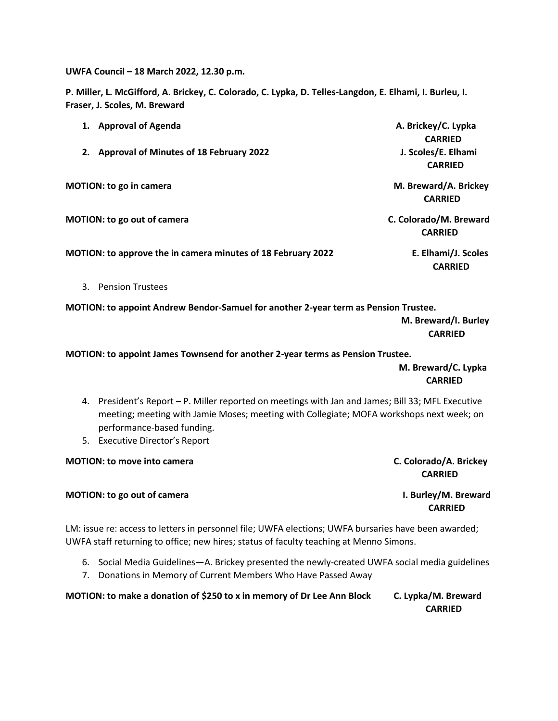**UWFA Council – 18 March 2022, 12.30 p.m.**

**P. Miller, L. McGifford, A. Brickey, C. Colorado, C. Lypka, D. Telles-Langdon, E. Elhami, I. Burleu, I. Fraser, J. Scoles, M. Breward**

| 1. Approval of Agenda                                               | A. Brickey/C. Lypka<br><b>CARRIED</b>    |
|---------------------------------------------------------------------|------------------------------------------|
| <b>Approval of Minutes of 18 February 2022</b><br>2.                | J. Scoles/E. Elhami<br><b>CARRIED</b>    |
| <b>MOTION: to go in camera</b>                                      | M. Breward/A. Brickey<br><b>CARRIED</b>  |
| <b>MOTION: to go out of camera</b>                                  | C. Colorado/M. Breward<br><b>CARRIED</b> |
| <b>MOTION: to approve the in camera minutes of 18 February 2022</b> | E. Elhami/J. Scoles<br><b>CARRIED</b>    |

3. Pension Trustees

**MOTION: to appoint Andrew Bendor-Samuel for another 2-year term as Pension Trustee.** 

 **M. Breward/I. Burley CARRIED**

**MOTION: to appoint James Townsend for another 2-year terms as Pension Trustee.** 

 **M. Breward/C. Lypka**  *CARRIED* 

- 4. President's Report P. Miller reported on meetings with Jan and James; Bill 33; MFL Executive meeting; meeting with Jamie Moses; meeting with Collegiate; MOFA workshops next week; on performance-based funding.
- 5. Executive Director's Report

| <b>MOTION: to move into camera</b> | C. Colorado/A. Brickey |
|------------------------------------|------------------------|
|                                    | <b>CARRIED</b>         |
| <b>MOTION: to go out of camera</b> | I. Burley/M. Breward   |
|                                    | <b>CARRIED</b>         |

LM: issue re: access to letters in personnel file; UWFA elections; UWFA bursaries have been awarded; UWFA staff returning to office; new hires; status of faculty teaching at Menno Simons.

- 6. Social Media Guidelines—A. Brickey presented the newly-created UWFA social media guidelines
- 7. Donations in Memory of Current Members Who Have Passed Away

**MOTION: to make a donation of \$250 to x in memory of Dr Lee Ann Block C. Lypka/M. Breward CARRIED**